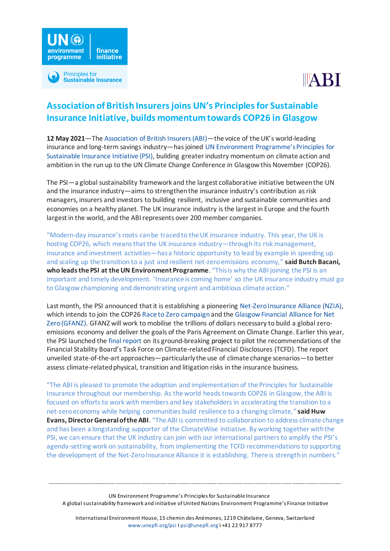

# **Association of British Insurers joins UN's Principles for Sustainable Insurance Initiative, builds momentum towards COP26 in Glasgow**

environment

**programme** 

Principles for

**Sustainable Insurance** 

finance **initiative** 

**12 May 2021**—Th[e Association of British Insurers \(ABI\)](https://www.abi.org.uk/)—the voice of the UK's world-leading insurance and long-term savings industry—has joined [UN Environment Programme's Principles for](https://www.unepfi.org/psi)  [Sustainable Insurance Initiative](https://www.unepfi.org/psi) (PSI), building greater industry momentum on climate action and ambition in the run up to the UN Climate Change Conference in Glasgow this November (COP26).

The PSI—a global sustainability framework and the largest collaborative initiative between the UN and the insurance industry—aims to strengthen the insurance industry's contribution as risk managers, insurers and investors to building resilient, inclusive and sustainable communities and economies on a healthy planet. The UK insurance industry is the largest in Europe and the fourth largest in the world, and the ABI represents over 200 member companies.

"Modern-day insurance's roots can be traced to the UK insurance industry. This year, the UK is hosting COP26, which means that the UK insurance industry—through its risk management, insurance and investment activities—has a historic opportunity to lead by example in speeding up and scaling up the transition to a just and resilient net-zero emissions economy," **said Butch Bacani, who leads the PSI at the UN Environment Programme**. "This is why the ABI joining the PSI is an important and timely development. 'Insurance is coming home' so the UK insurance industry must go to Glasgow championing and demonstrating urgent and ambitious climate action."

Last month, the PSI announced that it is establishing a pioneerin[g Net-Zero Insurance Alliance \(NZIA\),](https://www.unepfi.org/psi/wp-content/uploads/2021/04/PSI-NZIA-announcement.pdf) which intends to join the COP26 [Race to Zero campaign](https://unfccc.int/climate-action/race-to-zero-campaign) and th[e Glasgow Financial Alliance for Net](https://www.unepfi.org/wordpress/wp-content/uploads/2021/04/GFANZ-Launch-press-release.pdf)  [Zero \(GFANZ\).](https://www.unepfi.org/wordpress/wp-content/uploads/2021/04/GFANZ-Launch-press-release.pdf) GFANZ will work to mobilise the trillions of dollars necessary to build a global zeroemissions economy and deliver the goals of the Paris Agreement on Climate Change. Earlier this year, the PSI launched th[e final report](https://www.unepfi.org/psi/wp-content/uploads/2021/01/PSI-TCFD-global-announcement.pdf) on its ground-breaking project to pilot the recommendations of the Financial Stability Board's Task Force on Climate-related Financial Disclosures (TCFD). The report unveiled state-of-the-art approaches—particularly the use of climate change scenarios—to better assess climate-related physical, transition and litigation risks in the insurance business.

"The ABI is pleased to promote the adoption and implementation of the Principles for Sustainable Insurance throughout our membership. As the world headstowards COP26 in Glasgow, the ABI is focused on efforts to work with members and key stakeholders in accelerating the transition to a net-zero economy while helping communities build resilience to a changing climate," **said Huw Evans, Director General of the ABI**. "The ABI is committed to collaboration to address climate change and has been a longstanding supporter of the ClimateWise initiative. By working together with the PSI, we can ensure that the UK industry can join with our international partners to amplify the PSI's agenda-setting work on sustainability, from implementing the TCFD recommendations to supporting the development of the Net-Zero Insurance Alliance it is establishing. There is strength in numbers."

UN Environment Programme's Principles for Sustainable Insurance A global sustainability framework and initiative of United Nations Environment Programme's Finance Initiative

\_\_\_\_\_\_\_\_\_\_\_\_\_\_\_\_\_\_\_\_\_\_\_\_\_\_\_\_\_\_\_\_\_\_\_\_\_\_\_\_\_\_\_\_\_\_\_\_\_\_\_\_\_\_\_\_\_\_\_\_\_\_\_\_\_\_\_\_\_\_\_\_\_\_\_\_\_\_\_\_\_\_\_\_\_\_\_\_\_\_